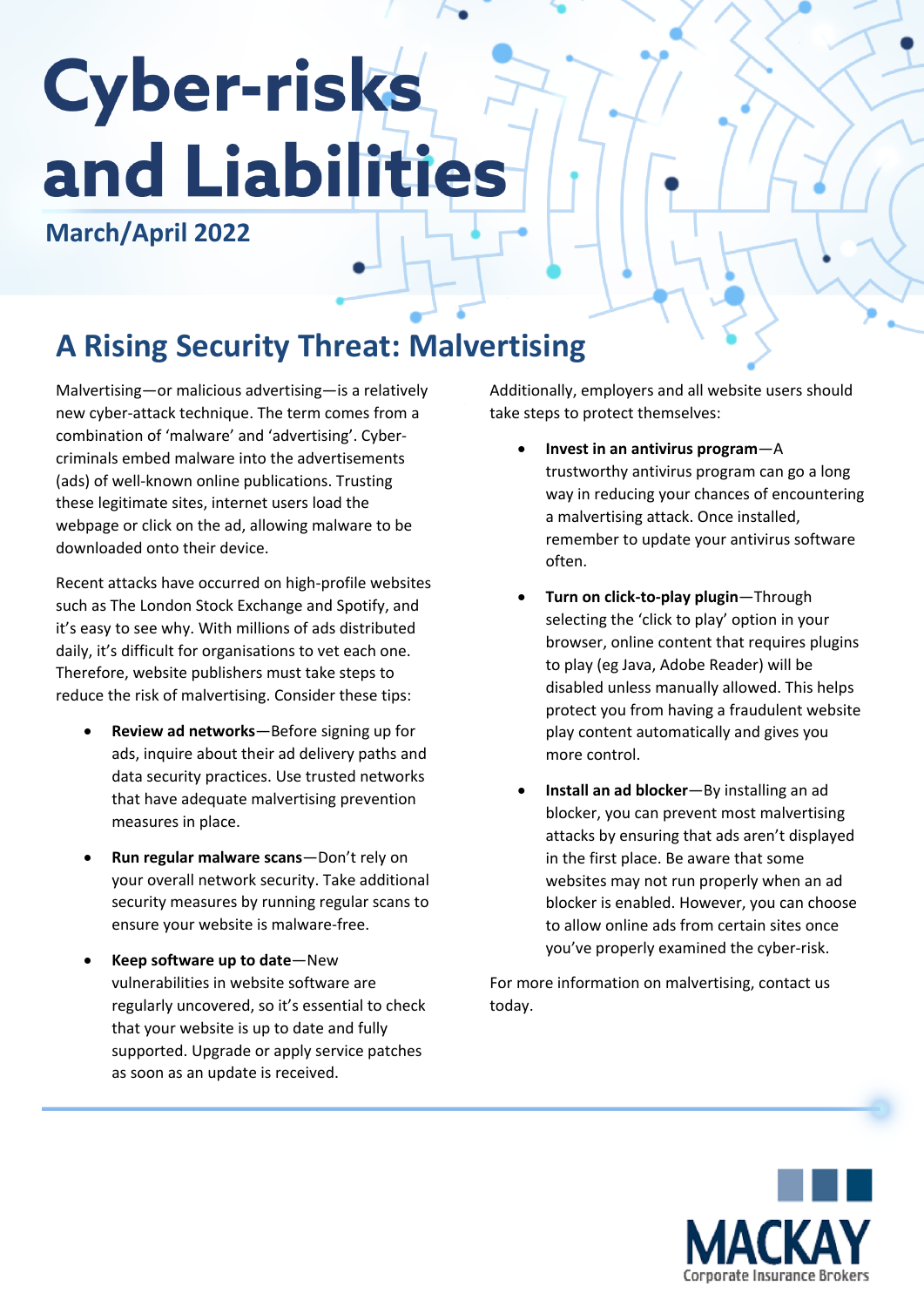# **Cyber-risks** and Liabilities

#### **March/April 2022**

## **A Rising Security Threat: Malvertising**

Malvertising—or malicious advertising—is a relatively new cyber-attack technique. The term comes from a combination of 'malware' and 'advertising'. Cybercriminals embed malware into the advertisements (ads) of well-known online publications. Trusting these legitimate sites, internet users load the webpage or click on the ad, allowing malware to be downloaded onto their device.

Recent attacks have occurred on high-profile websites such as The London Stock Exchange and Spotify, and it's easy to see why. With millions of ads distributed daily, it's difficult for organisations to vet each one. Therefore, website publishers must take steps to reduce the risk of malvertising. Consider these tips:

- **Review ad networks**—Before signing up for ads, inquire about their ad delivery paths and data security practices. Use trusted networks that have adequate malvertising prevention measures in place.
- **Run regular malware scans**—Don't rely on your overall network security. Take additional security measures by running regular scans to ensure your website is malware-free.
- **Keep software up to date**—New vulnerabilities in website software are regularly uncovered, so it's essential to check that your website is up to date and fully supported. Upgrade or apply service patches as soon as an update is received.

Additionally, employers and all website users should take steps to protect themselves:

- **Invest in an antivirus program**—A trustworthy antivirus program can go a long way in reducing your chances of encountering a malvertising attack. Once installed, remember to update your antivirus software often.
- **Turn on click-to-play plugin**—Through selecting the 'click to play' option in your browser, online content that requires plugins to play (eg Java, Adobe Reader) will be disabled unless manually allowed. This helps protect you from having a fraudulent website play content automatically and gives you more control.
- **Install an ad blocker**—By installing an ad blocker, you can prevent most malvertising attacks by ensuring that ads aren't displayed in the first place. Be aware that some websites may not run properly when an ad blocker is enabled. However, you can choose to allow online ads from certain sites once you've properly examined the cyber-risk.

For more information on malvertising, contact us today.